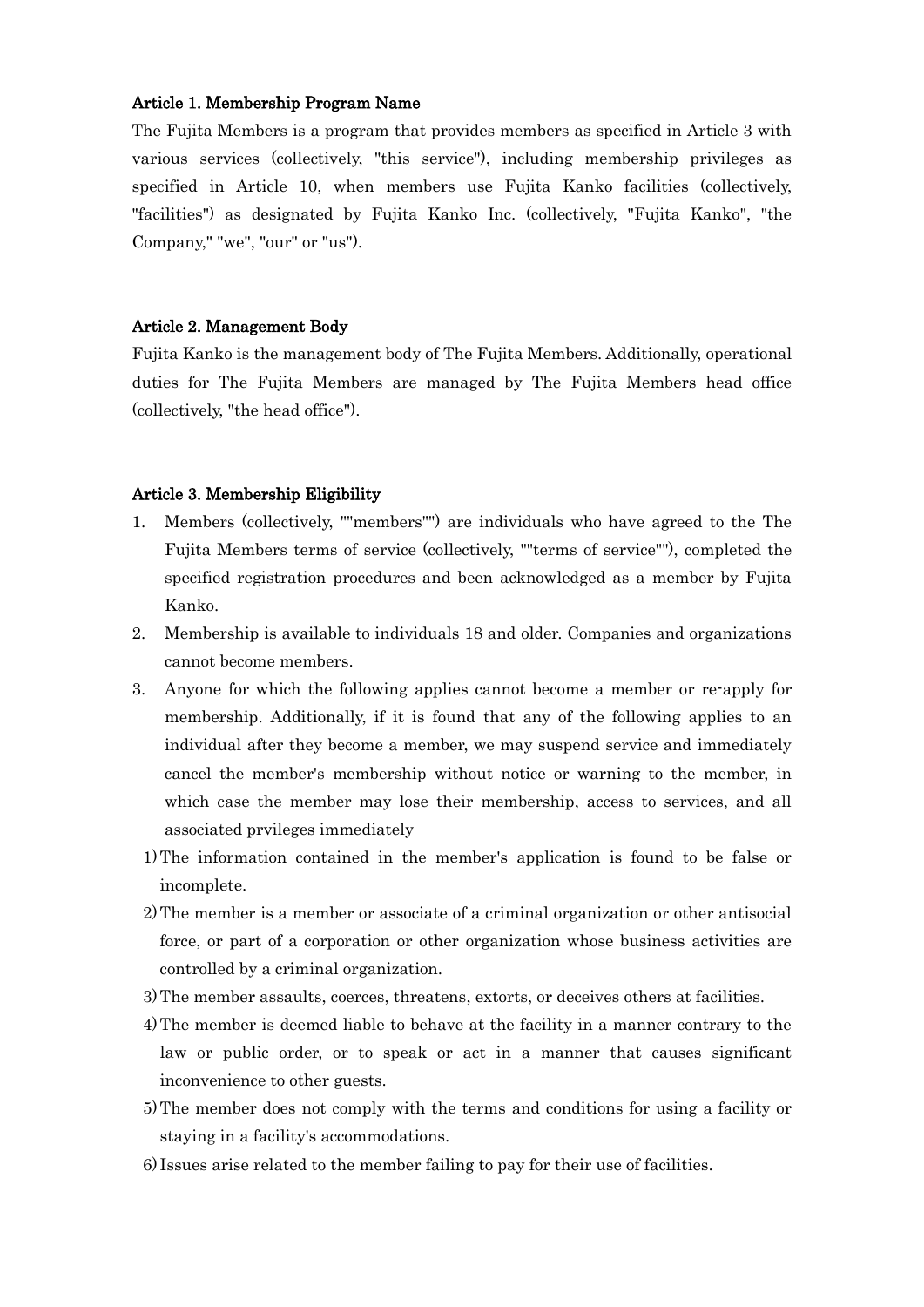## Article 1. Membership Program Name

The Fujita Members is a program that provides members as specified in Article 3 with various services (collectively, "this service"), including membership privileges as specified in Article 10, when members use Fujita Kanko facilities (collectively, "facilities") as designated by Fujita Kanko Inc. (collectively, "Fujita Kanko", "the Company," "we", "our" or "us").

#### Article 2. Management Body

Fujita Kanko is the management body of The Fujita Members. Additionally, operational duties for The Fujita Members are managed by The Fujita Members head office (collectively, "the head office").

#### Article 3. Membership Eligibility

- 1. Members (collectively, ""members"") are individuals who have agreed to the The Fujita Members terms of service (collectively, ""terms of service""), completed the specified registration procedures and been acknowledged as a member by Fujita Kanko.
- 2. Membership is available to individuals 18 and older. Companies and organizations cannot become members.
- 3. Anyone for which the following applies cannot become a member or re-apply for membership. Additionally, if it is found that any of the following applies to an individual after they become a member, we may suspend service and immediately cancel the member's membership without notice or warning to the member, in which case the member may lose their membership, access to services, and all associated prvileges immediately
- 1)The information contained in the member's application is found to be false or incomplete.
- 2)The member is a member or associate of a criminal organization or other antisocial force, or part of a corporation or other organization whose business activities are controlled by a criminal organization.
- 3)The member assaults, coerces, threatens, extorts, or deceives others at facilities.
- 4)The member is deemed liable to behave at the facility in a manner contrary to the law or public order, or to speak or act in a manner that causes significant inconvenience to other guests.
- 5)The member does not comply with the terms and conditions for using a facility or staying in a facility's accommodations.
- 6) Issues arise related to the member failing to pay for their use of facilities.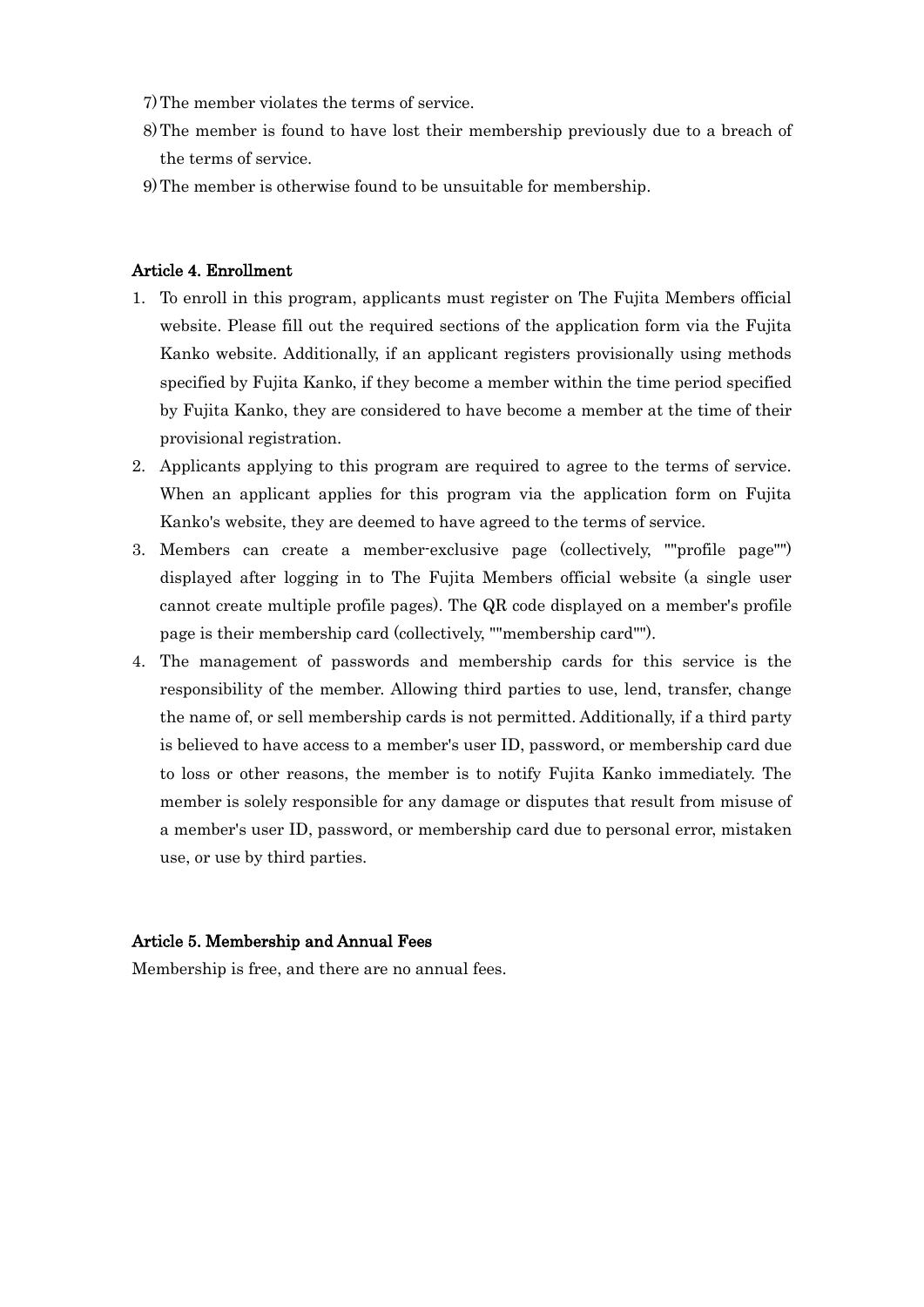- 7)The member violates the terms of service.
- 8)The member is found to have lost their membership previously due to a breach of the terms of service.
- 9)The member is otherwise found to be unsuitable for membership.

## Article 4. Enrollment

- 1. To enroll in this program, applicants must register on The Fujita Members official website. Please fill out the required sections of the application form via the Fujita Kanko website. Additionally, if an applicant registers provisionally using methods specified by Fujita Kanko, if they become a member within the time period specified by Fujita Kanko, they are considered to have become a member at the time of their provisional registration.
- 2. Applicants applying to this program are required to agree to the terms of service. When an applicant applies for this program via the application form on Fujita Kanko's website, they are deemed to have agreed to the terms of service.
- 3. Members can create a member-exclusive page (collectively, ""profile page"") displayed after logging in to The Fujita Members official website (a single user cannot create multiple profile pages). The QR code displayed on a member's profile page is their membership card (collectively, ""membership card"").
- 4. The management of passwords and membership cards for this service is the responsibility of the member. Allowing third parties to use, lend, transfer, change the name of, or sell membership cards is not permitted. Additionally, if a third party is believed to have access to a member's user ID, password, or membership card due to loss or other reasons, the member is to notify Fujita Kanko immediately. The member is solely responsible for any damage or disputes that result from misuse of a member's user ID, password, or membership card due to personal error, mistaken use, or use by third parties.

## Article 5. Membership and Annual Fees

Membership is free, and there are no annual fees.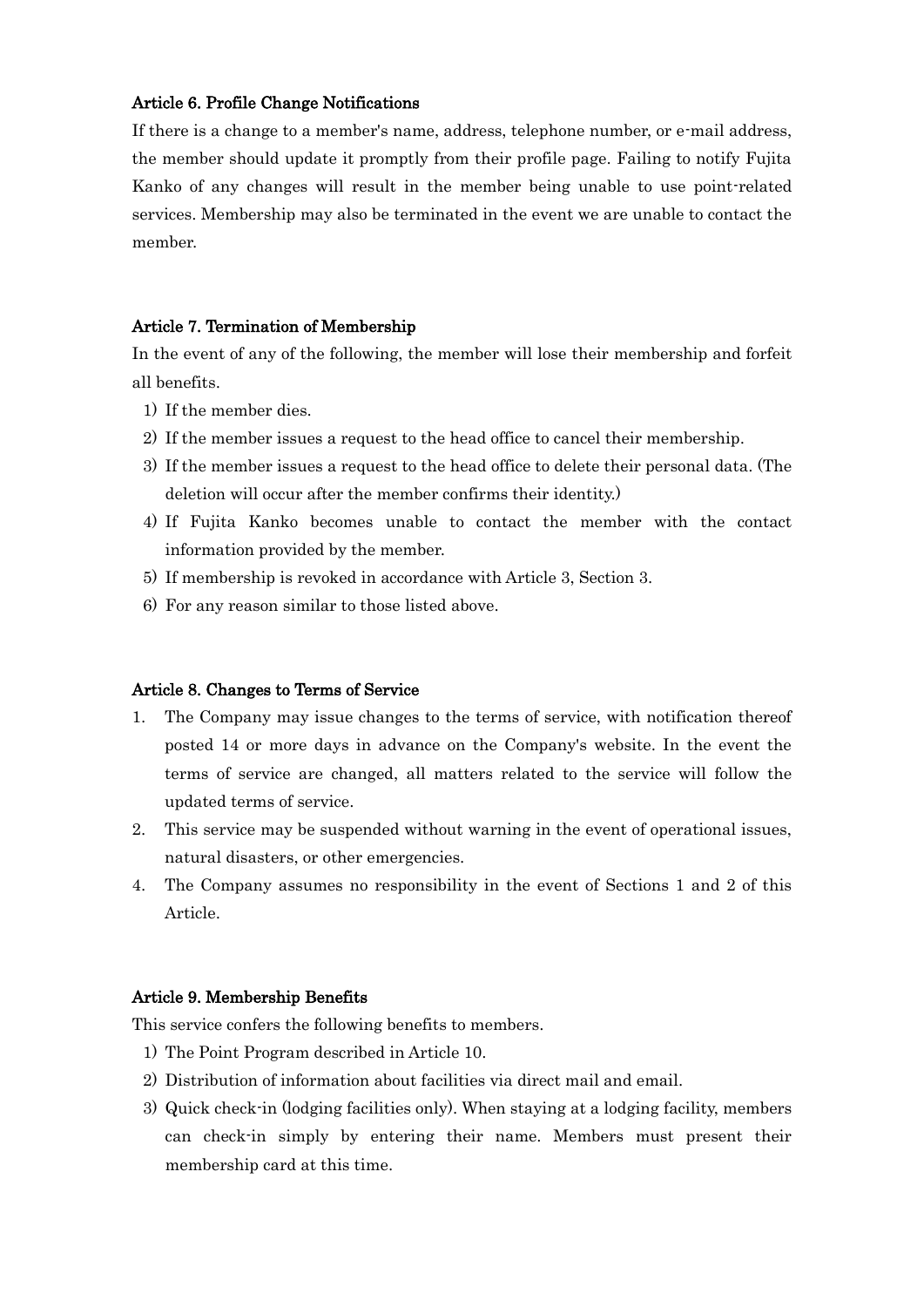## Article 6. Profile Change Notifications

If there is a change to a member's name, address, telephone number, or e-mail address, the member should update it promptly from their profile page. Failing to notify Fujita Kanko of any changes will result in the member being unable to use point-related services. Membership may also be terminated in the event we are unable to contact the member.

### Article 7. Termination of Membership

In the event of any of the following, the member will lose their membership and forfeit all benefits.

- 1) If the member dies.
- 2) If the member issues a request to the head office to cancel their membership.
- 3) If the member issues a request to the head office to delete their personal data. (The deletion will occur after the member confirms their identity.)
- 4) If Fujita Kanko becomes unable to contact the member with the contact information provided by the member.
- 5) If membership is revoked in accordance with Article 3, Section 3.
- 6) For any reason similar to those listed above.

### Article 8. Changes to Terms of Service

- 1. The Company may issue changes to the terms of service, with notification thereof posted 14 or more days in advance on the Company's website. In the event the terms of service are changed, all matters related to the service will follow the updated terms of service.
- 2. This service may be suspended without warning in the event of operational issues, natural disasters, or other emergencies.
- 4. The Company assumes no responsibility in the event of Sections 1 and 2 of this Article.

## Article 9. Membership Benefits

This service confers the following benefits to members.

- 1) The Point Program described in Article 10.
- 2) Distribution of information about facilities via direct mail and email.
- 3) Quick check-in (lodging facilities only). When staying at a lodging facility, members can check-in simply by entering their name. Members must present their membership card at this time.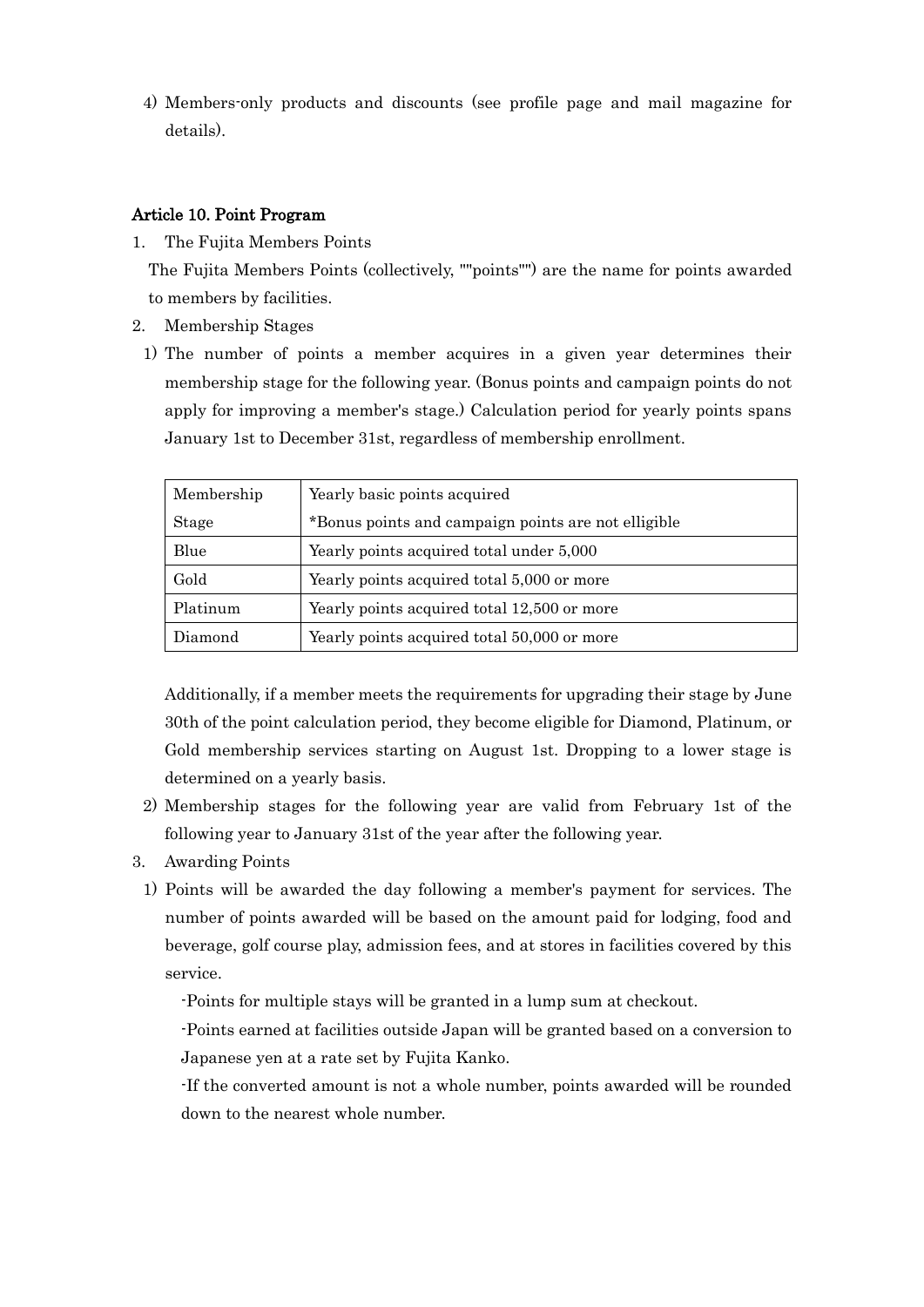4) Members-only products and discounts (see profile page and mail magazine for details).

# Article 10. Point Program

- 1. The Fujita Members Points The Fujita Members Points (collectively, ""points"") are the name for points awarded to members by facilities.
- 2. Membership Stages
	- 1) The number of points a member acquires in a given year determines their membership stage for the following year. (Bonus points and campaign points do not apply for improving a member's stage.) Calculation period for yearly points spans January 1st to December 31st, regardless of membership enrollment.

| Membership | Yearly basic points acquired                        |  |  |
|------------|-----------------------------------------------------|--|--|
| Stage      | *Bonus points and campaign points are not elligible |  |  |
| Blue       | Yearly points acquired total under 5,000            |  |  |
| Gold       | Yearly points acquired total 5,000 or more          |  |  |
| Platinum   | Yearly points acquired total 12,500 or more         |  |  |
| Diamond    | Yearly points acquired total 50,000 or more         |  |  |

Additionally, if a member meets the requirements for upgrading their stage by June 30th of the point calculation period, they become eligible for Diamond, Platinum, or Gold membership services starting on August 1st. Dropping to a lower stage is determined on a yearly basis.

- 2) Membership stages for the following year are valid from February 1st of the following year to January 31st of the year after the following year.
- 3. Awarding Points
- 1) Points will be awarded the day following a member's payment for services. The number of points awarded will be based on the amount paid for lodging, food and beverage, golf course play, admission fees, and at stores in facilities covered by this service.

-Points for multiple stays will be granted in a lump sum at checkout.

-Points earned at facilities outside Japan will be granted based on a conversion to Japanese yen at a rate set by Fujita Kanko.

-If the converted amount is not a whole number, points awarded will be rounded down to the nearest whole number.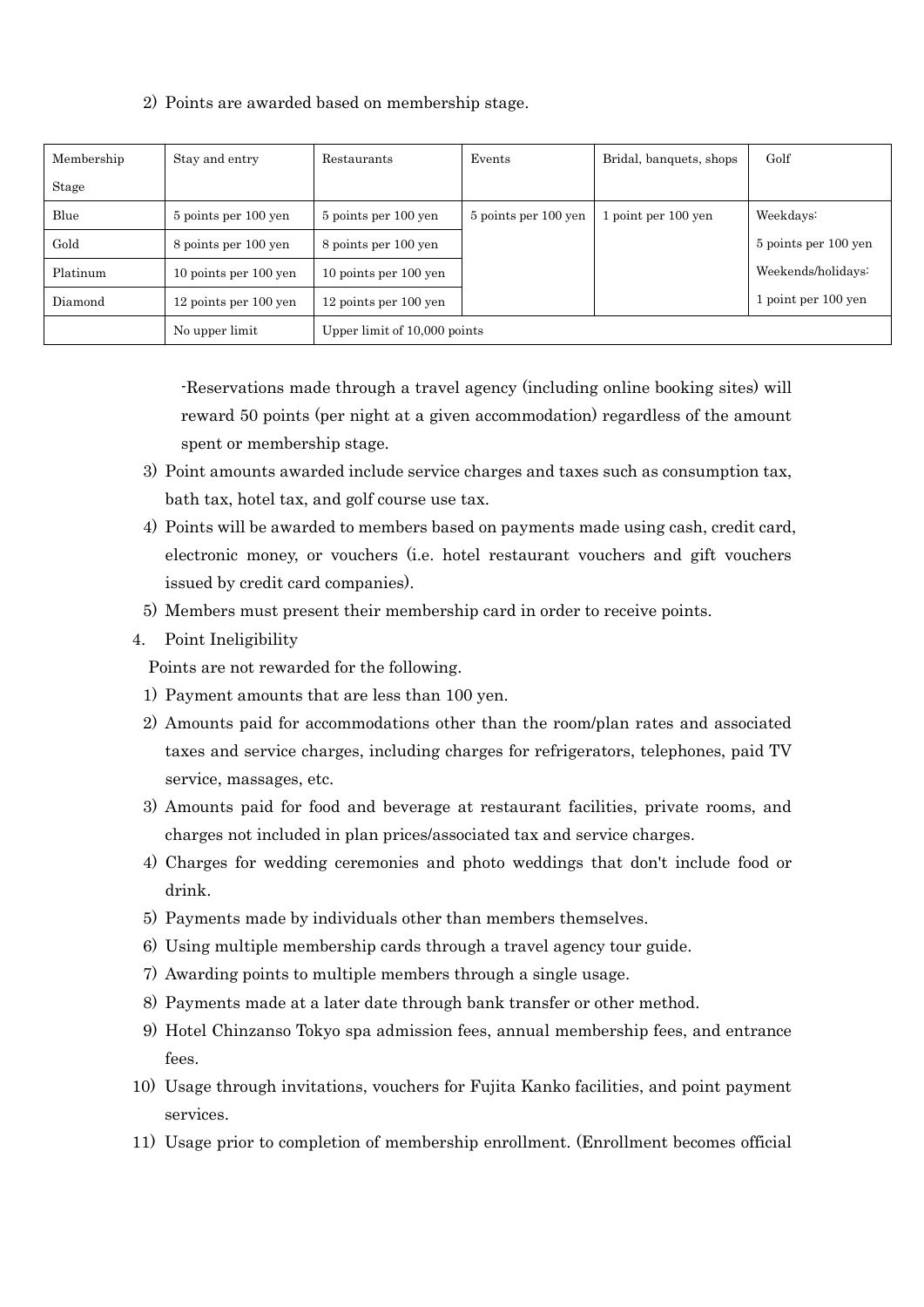| Membership | Stay and entry        | Restaurants                  | Events               | Bridal, banquets, shops | Golf                 |  |
|------------|-----------------------|------------------------------|----------------------|-------------------------|----------------------|--|
| Stage      |                       |                              |                      |                         |                      |  |
| Blue       | 5 points per 100 yen  | 5 points per 100 yen         | 5 points per 100 yen | 1 point per 100 yen     | Weekdays:            |  |
| Gold       | 8 points per 100 yen  | 8 points per 100 yen         |                      |                         | 5 points per 100 yen |  |
| Platinum   | 10 points per 100 yen | 10 points per 100 yen        |                      |                         | Weekends/holidays:   |  |
| Diamond    | 12 points per 100 yen | 12 points per 100 yen        |                      |                         | 1 point per 100 yen  |  |
|            | No upper limit        | Upper limit of 10,000 points |                      |                         |                      |  |

# 2) Points are awarded based on membership stage.

-Reservations made through a travel agency (including online booking sites) will reward 50 points (per night at a given accommodation) regardless of the amount spent or membership stage.

- 3) Point amounts awarded include service charges and taxes such as consumption tax, bath tax, hotel tax, and golf course use tax.
- 4) Points will be awarded to members based on payments made using cash, credit card, electronic money, or vouchers (i.e. hotel restaurant vouchers and gift vouchers issued by credit card companies).
- 5) Members must present their membership card in order to receive points.
- 4. Point Ineligibility

Points are not rewarded for the following.

- 1) Payment amounts that are less than 100 yen.
- 2) Amounts paid for accommodations other than the room/plan rates and associated taxes and service charges, including charges for refrigerators, telephones, paid TV service, massages, etc.
- 3) Amounts paid for food and beverage at restaurant facilities, private rooms, and charges not included in plan prices/associated tax and service charges.
- 4) Charges for wedding ceremonies and photo weddings that don't include food or drink.
- 5) Payments made by individuals other than members themselves.
- 6) Using multiple membership cards through a travel agency tour guide.
- 7) Awarding points to multiple members through a single usage.
- 8) Payments made at a later date through bank transfer or other method.
- 9) Hotel Chinzanso Tokyo spa admission fees, annual membership fees, and entrance fees.
- 10) Usage through invitations, vouchers for Fujita Kanko facilities, and point payment services.
- 11) Usage prior to completion of membership enrollment. (Enrollment becomes official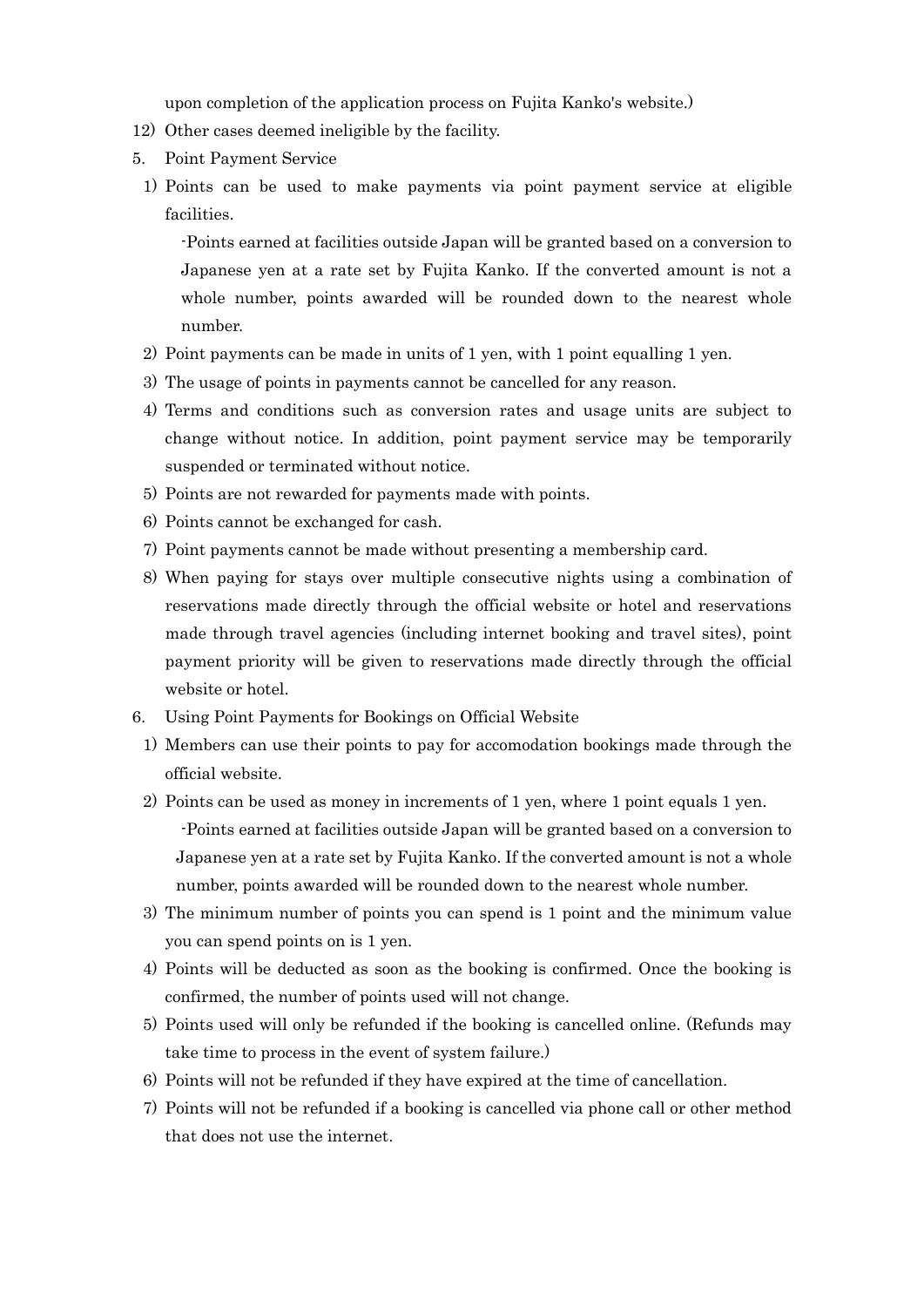upon completion of the application process on Fujita Kanko's website.)

- 12) Other cases deemed ineligible by the facility.
- 5. Point Payment Service
- 1) Points can be used to make payments via point payment service at eligible facilities.

-Points earned at facilities outside Japan will be granted based on a conversion to Japanese yen at a rate set by Fujita Kanko. If the converted amount is not a whole number, points awarded will be rounded down to the nearest whole number.

- 2) Point payments can be made in units of 1 yen, with 1 point equalling 1 yen.
- 3) The usage of points in payments cannot be cancelled for any reason.
- 4) Terms and conditions such as conversion rates and usage units are subject to change without notice. In addition, point payment service may be temporarily suspended or terminated without notice.
- 5) Points are not rewarded for payments made with points.
- 6) Points cannot be exchanged for cash.
- 7) Point payments cannot be made without presenting a membership card.
- 8) When paying for stays over multiple consecutive nights using a combination of reservations made directly through the official website or hotel and reservations made through travel agencies (including internet booking and travel sites), point payment priority will be given to reservations made directly through the official website or hotel.
- 6. Using Point Payments for Bookings on Official Website
	- 1) Members can use their points to pay for accomodation bookings made through the official website.
	- 2) Points can be used as money in increments of 1 yen, where 1 point equals 1 yen. -Points earned at facilities outside Japan will be granted based on a conversion to Japanese yen at a rate set by Fujita Kanko. If the converted amount is not a whole number, points awarded will be rounded down to the nearest whole number.
	- 3) The minimum number of points you can spend is 1 point and the minimum value you can spend points on is 1 yen.
	- 4) Points will be deducted as soon as the booking is confirmed. Once the booking is confirmed, the number of points used will not change.
	- 5) Points used will only be refunded if the booking is cancelled online. (Refunds may take time to process in the event of system failure.)
	- 6) Points will not be refunded if they have expired at the time of cancellation.
	- 7) Points will not be refunded if a booking is cancelled via phone call or other method that does not use the internet.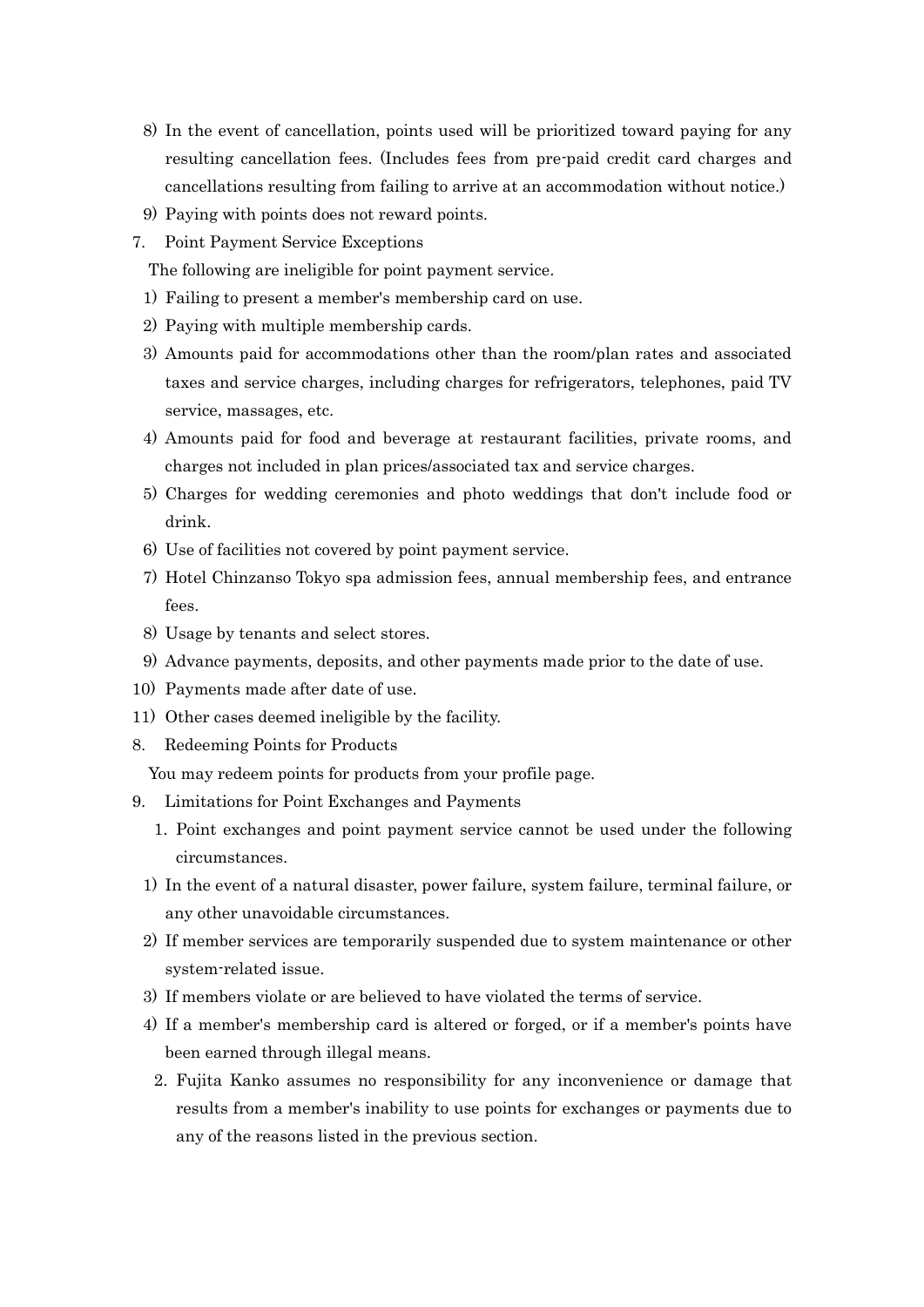- 8) In the event of cancellation, points used will be prioritized toward paying for any resulting cancellation fees. (Includes fees from pre-paid credit card charges and cancellations resulting from failing to arrive at an accommodation without notice.)
- 9) Paying with points does not reward points.
- 7. Point Payment Service Exceptions
	- The following are ineligible for point payment service.
	- 1) Failing to present a member's membership card on use.
	- 2) Paying with multiple membership cards.
	- 3) Amounts paid for accommodations other than the room/plan rates and associated taxes and service charges, including charges for refrigerators, telephones, paid TV service, massages, etc.
	- 4) Amounts paid for food and beverage at restaurant facilities, private rooms, and charges not included in plan prices/associated tax and service charges.
	- 5) Charges for wedding ceremonies and photo weddings that don't include food or drink.
	- 6) Use of facilities not covered by point payment service.
	- 7) Hotel Chinzanso Tokyo spa admission fees, annual membership fees, and entrance fees.
	- 8) Usage by tenants and select stores.
	- 9) Advance payments, deposits, and other payments made prior to the date of use.
- 10) Payments made after date of use.
- 11) Other cases deemed ineligible by the facility.
- 8. Redeeming Points for Products

You may redeem points for products from your profile page.

- 9. Limitations for Point Exchanges and Payments
	- 1. Point exchanges and point payment service cannot be used under the following circumstances.
	- 1) In the event of a natural disaster, power failure, system failure, terminal failure, or any other unavoidable circumstances.
	- 2) If member services are temporarily suspended due to system maintenance or other system-related issue.
	- 3) If members violate or are believed to have violated the terms of service.
	- 4) If a member's membership card is altered or forged, or if a member's points have been earned through illegal means.
		- 2. Fujita Kanko assumes no responsibility for any inconvenience or damage that results from a member's inability to use points for exchanges or payments due to any of the reasons listed in the previous section.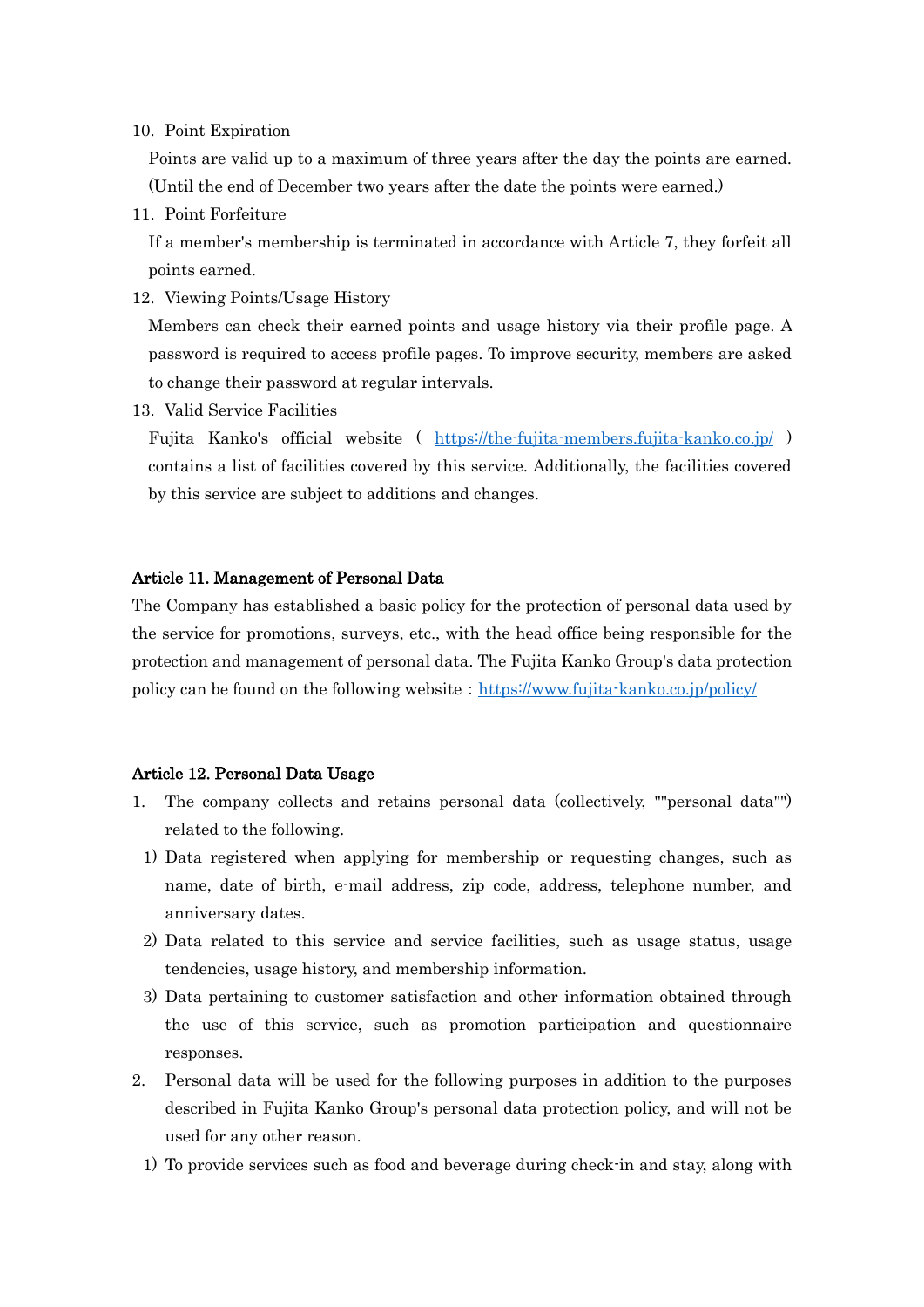10. Point Expiration

Points are valid up to a maximum of three years after the day the points are earned. (Until the end of December two years after the date the points were earned.)

11. Point Forfeiture

If a member's membership is terminated in accordance with Article 7, they forfeit all points earned.

12. Viewing Points/Usage History

Members can check their earned points and usage history via their profile page. A password is required to access profile pages. To improve security, members are asked to change their password at regular intervals.

13. Valid Service Facilities

Fujita Kanko's official website ( <https://the-fujita-members.fujita-kanko.co.jp/> ) contains a list of facilities covered by this service. Additionally, the facilities covered by this service are subject to additions and changes.

## Article 11. Management of Personal Data

The Company has established a basic policy for the protection of personal data used by the service for promotions, surveys, etc., with the head office being responsible for the protection and management of personal data. The Fujita Kanko Group's data protection policy can be found on the following website: <https://www.fujita-kanko.co.jp/policy/>

## Article 12. Personal Data Usage

- 1. The company collects and retains personal data (collectively, ""personal data"") related to the following.
- 1) Data registered when applying for membership or requesting changes, such as name, date of birth, e-mail address, zip code, address, telephone number, and anniversary dates.
- 2) Data related to this service and service facilities, such as usage status, usage tendencies, usage history, and membership information.
- 3) Data pertaining to customer satisfaction and other information obtained through the use of this service, such as promotion participation and questionnaire responses.
- 2. Personal data will be used for the following purposes in addition to the purposes described in Fujita Kanko Group's personal data protection policy, and will not be used for any other reason.
	- 1) To provide services such as food and beverage during check-in and stay, along with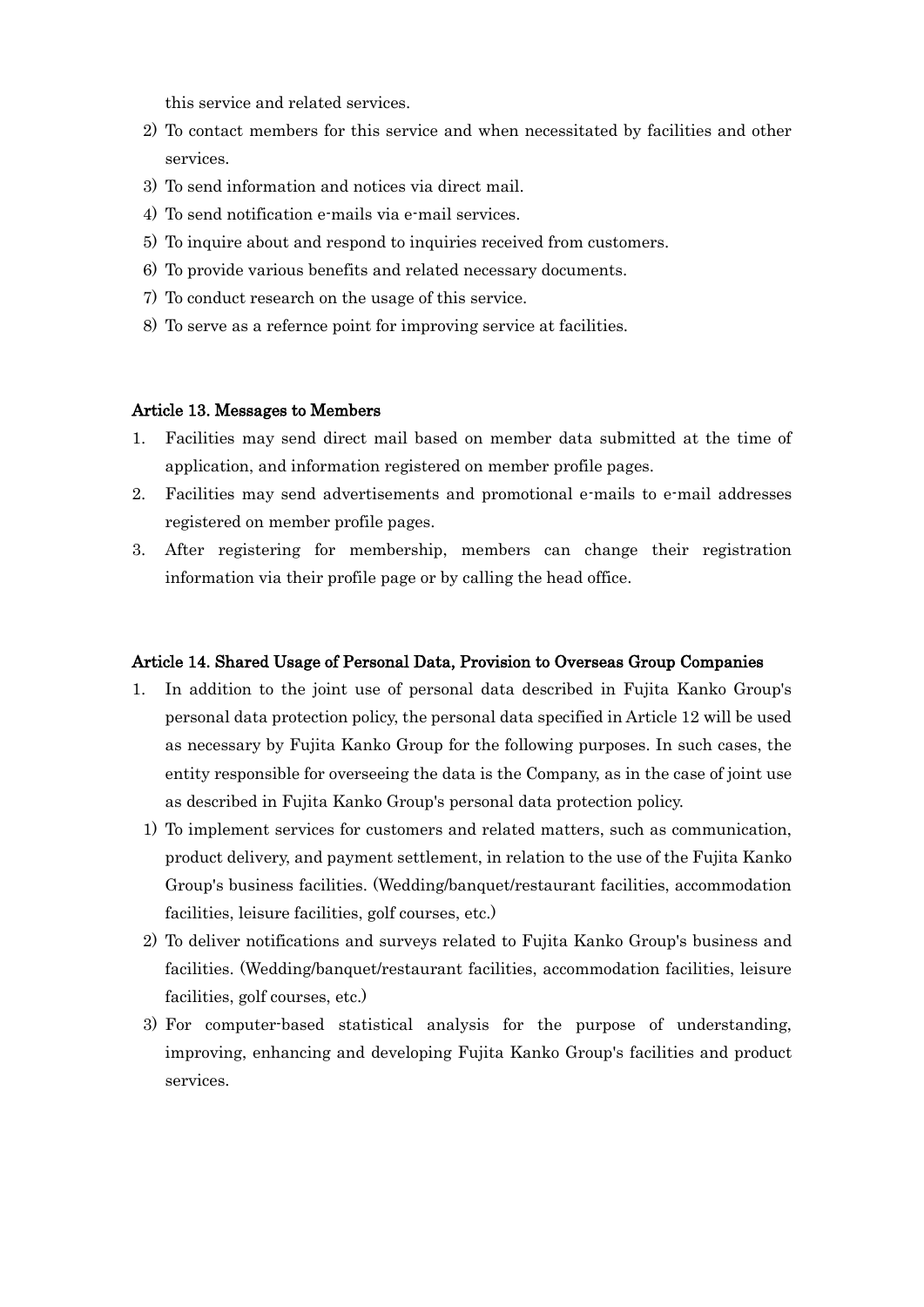this service and related services.

- 2) To contact members for this service and when necessitated by facilities and other services.
- 3) To send information and notices via direct mail.
- 4) To send notification e-mails via e-mail services.
- 5) To inquire about and respond to inquiries received from customers.
- 6) To provide various benefits and related necessary documents.
- 7) To conduct research on the usage of this service.
- 8) To serve as a refernce point for improving service at facilities.

## Article 13. Messages to Members

- 1. Facilities may send direct mail based on member data submitted at the time of application, and information registered on member profile pages.
- 2. Facilities may send advertisements and promotional e-mails to e-mail addresses registered on member profile pages.
- 3. After registering for membership, members can change their registration information via their profile page or by calling the head office.

## Article 14. Shared Usage of Personal Data, Provision to Overseas Group Companies

- 1. In addition to the joint use of personal data described in Fujita Kanko Group's personal data protection policy, the personal data specified in Article 12 will be used as necessary by Fujita Kanko Group for the following purposes. In such cases, the entity responsible for overseeing the data is the Company, as in the case of joint use as described in Fujita Kanko Group's personal data protection policy.
	- 1) To implement services for customers and related matters, such as communication, product delivery, and payment settlement, in relation to the use of the Fujita Kanko Group's business facilities. (Wedding/banquet/restaurant facilities, accommodation facilities, leisure facilities, golf courses, etc.)
	- 2) To deliver notifications and surveys related to Fujita Kanko Group's business and facilities. (Wedding/banquet/restaurant facilities, accommodation facilities, leisure facilities, golf courses, etc.)
	- 3) For computer-based statistical analysis for the purpose of understanding, improving, enhancing and developing Fujita Kanko Group's facilities and product services.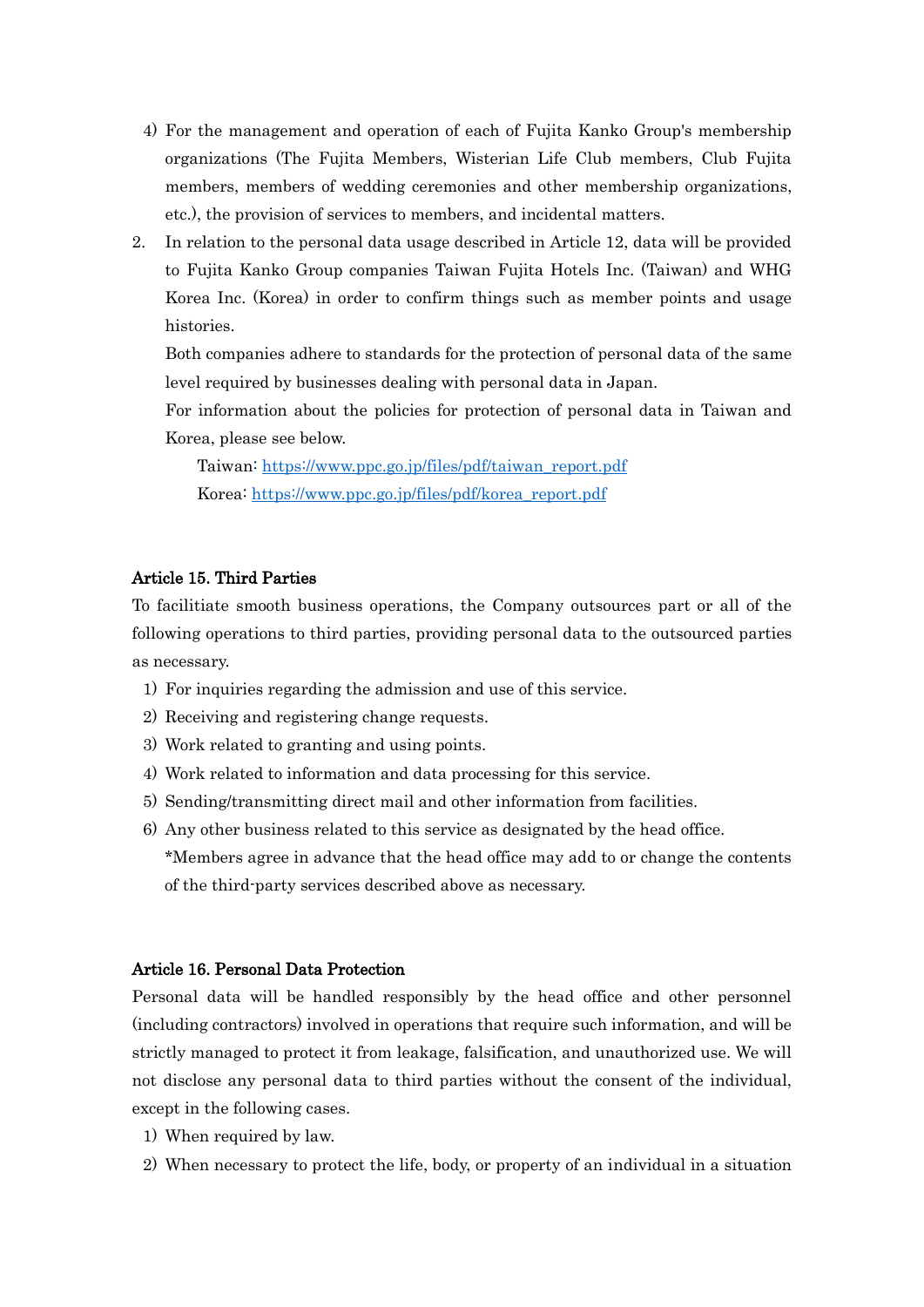- 4) For the management and operation of each of Fujita Kanko Group's membership organizations (The Fujita Members, Wisterian Life Club members, Club Fujita members, members of wedding ceremonies and other membership organizations, etc.), the provision of services to members, and incidental matters.
- 2. In relation to the personal data usage described in Article 12, data will be provided to Fujita Kanko Group companies Taiwan Fujita Hotels Inc. (Taiwan) and WHG Korea Inc. (Korea) in order to confirm things such as member points and usage histories.

Both companies adhere to standards for the protection of personal data of the same level required by businesses dealing with personal data in Japan.

For information about the policies for protection of personal data in Taiwan and Korea, please see below.

Taiwan: [https://www.ppc.go.jp/files/pdf/taiwan\\_report.pdf](https://www.ppc.go.jp/files/pdf/taiwan_report.pdf) Korea: [https://www.ppc.go.jp/files/pdf/korea\\_report.pdf](https://www.ppc.go.jp/files/pdf/korea_report.pdf)

## Article 15. Third Parties

To facilitiate smooth business operations, the Company outsources part or all of the following operations to third parties, providing personal data to the outsourced parties as necessary.

- 1) For inquiries regarding the admission and use of this service.
- 2) Receiving and registering change requests.
- 3) Work related to granting and using points.
- 4) Work related to information and data processing for this service.
- 5) Sending/transmitting direct mail and other information from facilities.
- 6) Any other business related to this service as designated by the head office. \*Members agree in advance that the head office may add to or change the contents of the third-party services described above as necessary.

### Article 16. Personal Data Protection

Personal data will be handled responsibly by the head office and other personnel (including contractors) involved in operations that require such information, and will be strictly managed to protect it from leakage, falsification, and unauthorized use. We will not disclose any personal data to third parties without the consent of the individual, except in the following cases.

- 1) When required by law.
- 2) When necessary to protect the life, body, or property of an individual in a situation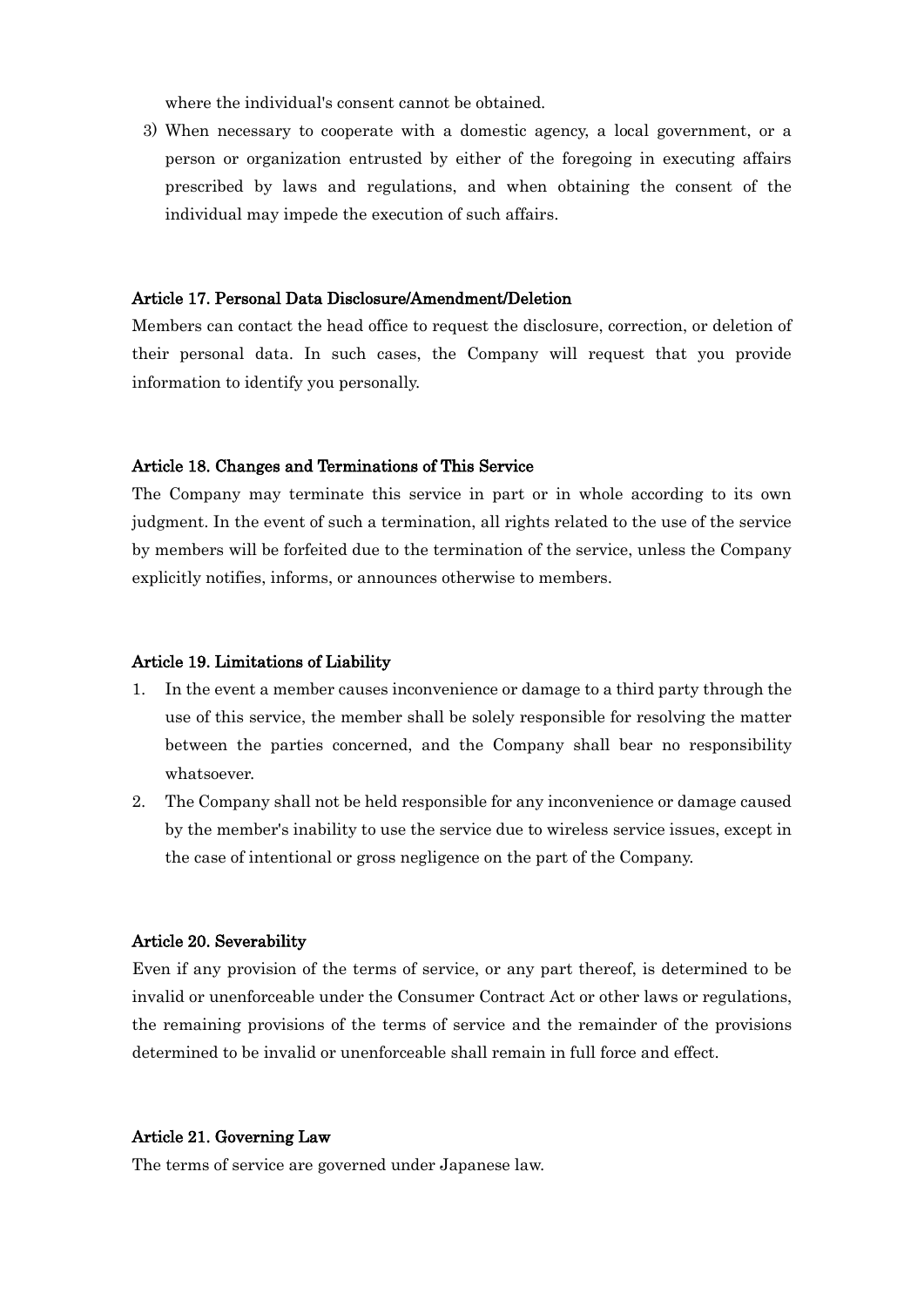where the individual's consent cannot be obtained.

3) When necessary to cooperate with a domestic agency, a local government, or a person or organization entrusted by either of the foregoing in executing affairs prescribed by laws and regulations, and when obtaining the consent of the individual may impede the execution of such affairs.

## Article 17. Personal Data Disclosure/Amendment/Deletion

Members can contact the head office to request the disclosure, correction, or deletion of their personal data. In such cases, the Company will request that you provide information to identify you personally.

#### Article 18. Changes and Terminations of This Service

The Company may terminate this service in part or in whole according to its own judgment. In the event of such a termination, all rights related to the use of the service by members will be forfeited due to the termination of the service, unless the Company explicitly notifies, informs, or announces otherwise to members.

#### Article 19. Limitations of Liability

- 1. In the event a member causes inconvenience or damage to a third party through the use of this service, the member shall be solely responsible for resolving the matter between the parties concerned, and the Company shall bear no responsibility whatsoever.
- 2. The Company shall not be held responsible for any inconvenience or damage caused by the member's inability to use the service due to wireless service issues, except in the case of intentional or gross negligence on the part of the Company.

### Article 20. Severability

Even if any provision of the terms of service, or any part thereof, is determined to be invalid or unenforceable under the Consumer Contract Act or other laws or regulations, the remaining provisions of the terms of service and the remainder of the provisions determined to be invalid or unenforceable shall remain in full force and effect.

#### Article 21. Governing Law

The terms of service are governed under Japanese law.